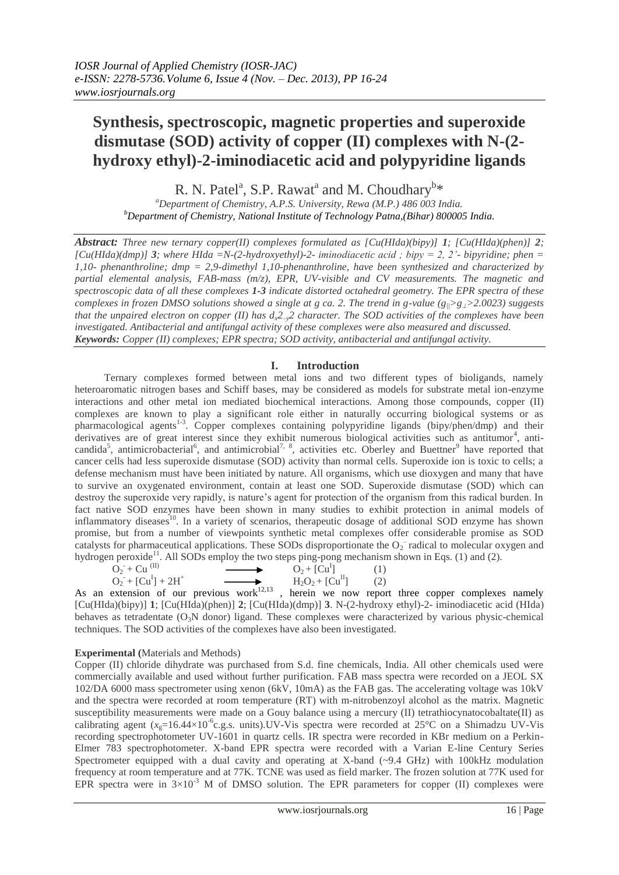# **Synthesis, spectroscopic, magnetic properties and superoxide dismutase (SOD) activity of copper (II) complexes with N-(2 hydroxy ethyl)-2-iminodiacetic acid and polypyridine ligands**

R. N. Patel<sup>a</sup>, S.P. Rawat<sup>a</sup> and M. Choudhary<sup>b\*</sup>

*<sup>a</sup>Department of Chemistry, A.P.S. University, Rewa (M.P.) 486 003 India. <sup>b</sup>Department of Chemistry, National Institute of Technology Patna,(Bihar) 800005 India.*

*Abstract: Three new ternary copper(II) complexes formulated as [Cu(HIda)(bipy)] 1; [Cu(HIda)(phen)] 2;*   $[Cu(HIda)(dmp)]$  <sup>3</sup>*; where HIda* =N-(2-hydroxyethyl)-2- *iminodiacetic acid ; bipy* = 2, 2'- *bipyridine; phen* = *1,10- phenanthroline; dmp = 2,9-dimethyl 1,10-phenanthroline, have been synthesized and characterized by partial elemental analysis, FAB-mass (m/z), EPR, UV-visible and CV measurements. The magnetic and spectroscopic data of all these complexes 1-3 indicate distorted octahedral geometry. The EPR spectra of these complexes in frozen DMSO solutions showed a single at g ca. 2. The trend in g-value (g||>g>2.0023) suggests that the unpaired electron on copper (II) has dx2–y2 character. The SOD activities of the complexes have been investigated. Antibacterial and antifungal activity of these complexes were also measured and discussed. Keywords: Copper (II) complexes; EPR spectra; SOD activity, antibacterial and antifungal activity.*

# **I. Introduction**

Ternary complexes formed between metal ions and two different types of bioligands, namely heteroaromatic nitrogen bases and Schiff bases, may be considered as models for substrate metal ion-enzyme interactions and other metal ion mediated biochemical interactions. Among those compounds, copper (II) complexes are known to play a significant role either in naturally occurring biological systems or as pharmacological agents<sup>1-3</sup>. Copper complexes containing polypyridine ligands (bipy/phen/dmp) and their derivatives are of great interest since they exhibit numerous biological activities such as antitumor<sup>4</sup>, anticandida<sup>5</sup>, antimicrobacterial<sup>6</sup>, and antimicrobial<sup>7, 8</sup>, activities etc. Oberley and Buettner<sup>9</sup> have reported that cancer cells had less superoxide dismutase (SOD) activity than normal cells. Superoxide ion is toxic to cells; a defense mechanism must have been initiated by nature. All organisms, which use dioxygen and many that have to survive an oxygenated environment, contain at least one SOD. Superoxide dismutase (SOD) which can destroy the superoxide very rapidly, is nature's agent for protection of the organism from this radical burden. In fact native SOD enzymes have been shown in many studies to exhibit protection in animal models of inflammatory diseases<sup>10</sup>. In a variety of scenarios, therapeutic dosage of additional SOD enzyme has shown promise, but from a number of viewpoints synthetic metal complexes offer considerable promise as SOD catalysts for pharmaceutical applications. These SODs disproportionate the  $O_2^-$  radical to molecular oxygen and hydrogen peroxide<sup>11</sup>. All SODs employ the two steps ping-pong mechanism shown in Eqs. (1) and (2).

| $O_2 + Cu$ <sup>(II)</sup> | $O_2 + [Cu^1]$    | (1) |
|----------------------------|-------------------|-----|
| $Q_2 + [Cu^I] + 2H^+$      | $H_2O_2 + [Cu11]$ | (2) |

As an extension of our previous work<sup>12,13</sup>, herein we now report three copper complexes namely [Cu(HIda)(bipy)] **1**; [Cu(HIda)(phen)] **2**; [Cu(HIda)(dmp)] **3**. N-(2-hydroxy ethyl)-2- iminodiacetic acid (HIda) behaves as tetradentate  $(O_3N \text{ donor})$  ligand. These complexes were characterized by various physic-chemical techniques. The SOD activities of the complexes have also been investigated.

# **Experimental (**Materials and Methods)

Copper (II) chloride dihydrate was purchased from S.d. fine chemicals, India. All other chemicals used were commercially available and used without further purification. FAB mass spectra were recorded on a JEOL SX 102/DA 6000 mass spectrometer using xenon (6kV, 10mA) as the FAB gas. The accelerating voltage was 10kV and the spectra were recorded at room temperature (RT) with m-nitrobenzoyl alcohol as the matrix. Magnetic susceptibility measurements were made on a Gouy balance using a mercury (II) tetrathiocynatocobaltate(II) as calibrating agent ( $x_g$ =16.44×10<sup>-6</sup>c.g.s. units).UV-Vis spectra were recorded at 25°C on a Shimadzu UV-Vis recording spectrophotometer UV-1601 in quartz cells. IR spectra were recorded in KBr medium on a Perkin-Elmer 783 spectrophotometer. X-band EPR spectra were recorded with a Varian E-line Century Series Spectrometer equipped with a dual cavity and operating at X-band (~9.4 GHz) with 100kHz modulation frequency at room temperature and at 77K. TCNE was used as field marker. The frozen solution at 77K used for EPR spectra were in  $3\times10^{-3}$  M of DMSO solution. The EPR parameters for copper (II) complexes were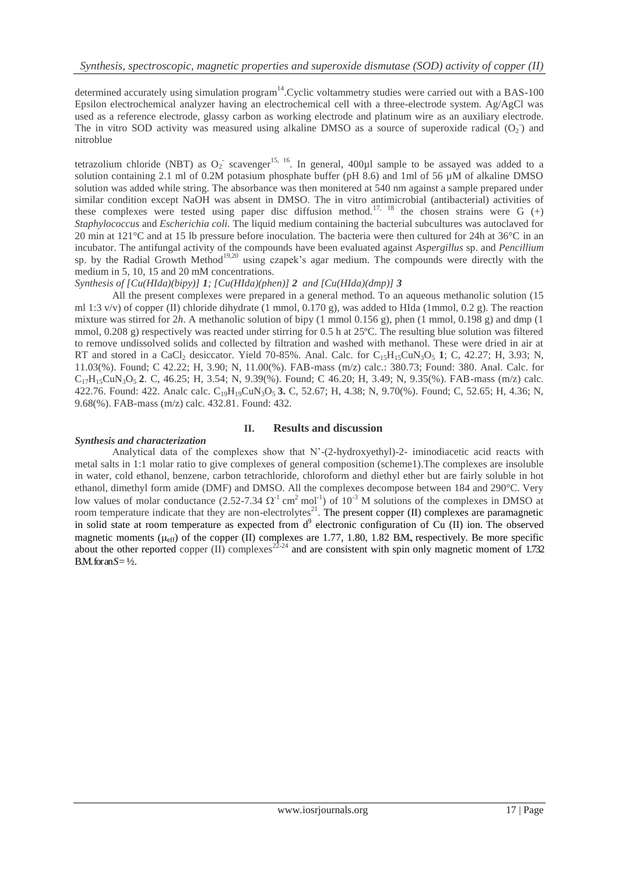determined accurately using simulation program<sup>14</sup>. Cyclic voltammetry studies were carried out with a BAS-100 Epsilon electrochemical analyzer having an electrochemical cell with a three-electrode system. Ag/AgCl was used as a reference electrode, glassy carbon as working electrode and platinum wire as an auxiliary electrode. The in vitro SOD activity was measured using alkaline DMSO as a source of superoxide radical  $(O_2)$  and nitroblue

tetrazolium chloride (NBT) as  $O_2$  scavenger<sup>15, 16</sup>. In general, 400 $\mu$ l sample to be assayed was added to a solution containing 2.1 ml of 0.2M potasium phosphate buffer (pH 8.6) and 1ml of 56 µM of alkaline DMSO solution was added while string. The absorbance was then monitered at 540 nm against a sample prepared under similar condition except NaOH was absent in DMSO. The in vitro antimicrobial (antibacterial) activities of these complexes were tested using paper disc diffusion method.<sup>17, 18</sup> the chosen strains were G  $(+)$ *Staphylococcus* and *Escherichia coli.* The liquid medium containing the bacterial subcultures was autoclaved for 20 min at 121°C and at 15 lb pressure before inoculation. The bacteria were then cultured for 24h at 36°C in an incubator. The antifungal activity of the compounds have been evaluated against *Aspergillus* sp. and *Pencillium*  sp. by the Radial Growth Method<sup>19,20</sup> using czapek's agar medium. The compounds were directly with the medium in 5, 10, 15 and 20 mM concentrations.

*Synthesis of [Cu(HIda)(bipy)] 1; [Cu(HIda)(phen)] 2 and [Cu(HIda)(dmp)] 3*

All the present complexes were prepared in a general method. To an aqueous methanolic solution (15 ml 1:3 v/v) of copper (II) chloride dihydrate (1 mmol, 0.170 g), was added to HIda (1mmol, 0.2 g). The reaction mixture was stirred for 2*h*. A methanolic solution of bipy (1 mmol 0.156 g), phen (1 mmol, 0.198 g) and dmp (1 mmol, 0.208 g) respectively was reacted under stirring for 0.5 h at 25ºC. The resulting blue solution was filtered to remove undissolved solids and collected by filtration and washed with methanol. These were dried in air at RT and stored in a CaCl<sub>2</sub> desiccator. Yield 70-85%. Anal. Calc. for  $C_{15}H_{15}CuN_3O_5$  1; C, 42.27; H, 3.93; N, 11.03(%). Found; C 42.22; H, 3.90; N, 11.00(%). FAB-mass (m/z) calc.: 380.73; Found: 380. Anal. Calc. for C17H15CuN3O5 **2**. C, 46.25; H, 3.54; N, 9.39(%). Found; C 46.20; H, 3.49; N, 9.35(%). FAB-mass (m/z) calc. 422.76. Found: 422. Analc calc. C19H19CuN3O5 **3.** C, 52.67; H, 4.38; N, 9.70(%). Found; C, 52.65; H, 4.36; N, 9.68(%). FAB-mass (m/z) calc. 432.81. Found: 432.

# **II. Results and discussion**

# *Synthesis and characterization*

Analytical data of the complexes show that N'-(2-hydroxyethyl)-2- iminodiacetic acid reacts with metal salts in 1:1 molar ratio to give complexes of general composition (scheme1).The complexes are insoluble in water, cold ethanol, benzene, carbon tetrachloride, chloroform and diethyl ether but are fairly soluble in hot ethanol, dimethyl form amide (DMF) and DMSO. All the complexes decompose between 184 and 290°C. Very low values of molar conductance  $(2.52{\text -}7.34 \Omega^1 \text{ cm}^2 \text{ mol}^{-1})$  of  $10^{-3}$  M solutions of the complexes in DMSO at room temperature indicate that they are non-electrolytes<sup>21</sup>. The present copper (II) complexes are paramagnetic in solid state at room temperature as expected from  $d<sup>9</sup>$  electronic configuration of Cu (II) ion. The observed magnetic moments ( $\mu_{eff}$ ) of the copper (II) complexes are 1.77, 1.80, 1.82 B.M., respectively. Be more specific about the other reported copper (II) complexes<sup>22-24</sup> and are consistent with spin only magnetic moment of 1.732 B.M. for an  $S = \frac{1}{2}$ .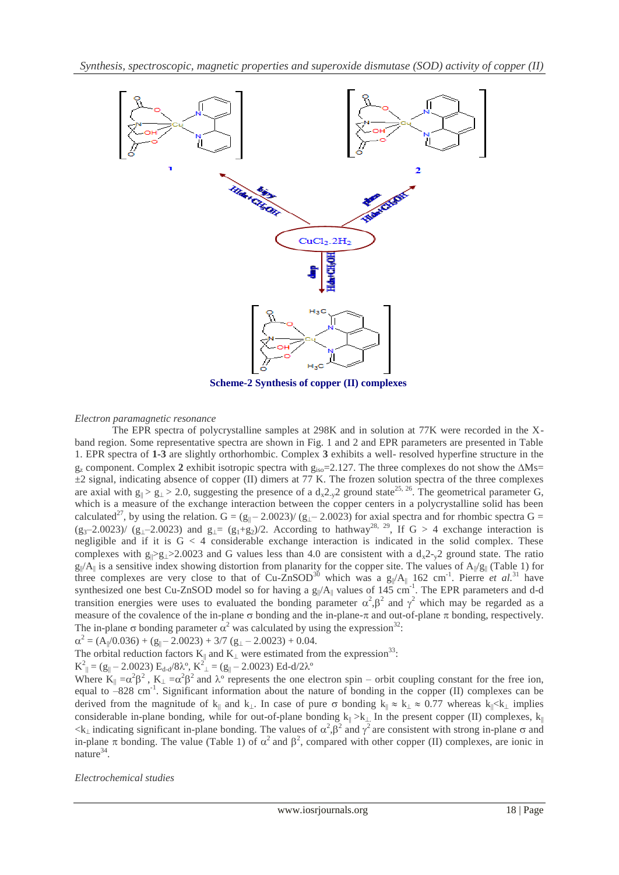

 **Scheme-2 Synthesis of copper (II) complexes**

#### *Electron paramagnetic resonance*

The EPR spectra of polycrystalline samples at 298K and in solution at 77K were recorded in the Xband region. Some representative spectra are shown in Fig. 1 and 2 and EPR parameters are presented in Table 1. EPR spectra of **1-3** are slightly orthorhombic. Complex **3** exhibits a well- resolved hyperfine structure in the  $g_z$  component. Complex 2 exhibit isotropic spectra with  $g_{iso} = 2.127$ . The three complexes do not show the  $\Delta Ms$  $\pm$ 2 signal, indicating absence of copper (II) dimers at 77 K. The frozen solution spectra of the three complexes are axial with  $g_{\parallel} > g_{\perp} > 2.0$ , suggesting the presence of a  $d_x 2_y 2$  ground state<sup>25, 26</sup>. The geometrical parameter G, which is a measure of the exchange interaction between the copper centers in a polycrystalline solid has been calculated<sup>27</sup>, by using the relation. G =  $(g_{\parallel} - 2.0023) / (g_{\perp} - 2.0023)$  for axial spectra and for rhombic spectra G =  $(g_3-2.0023)$  ( $g_1-2.0023$ ) and  $g_1=(g_1+g_2)/2$ . According to hathway<sup>28, 29</sup>, If G > 4 exchange interaction is negligible and if it is  $G < 4$  considerable exchange interaction is indicated in the solid complex. These complexes with  $g_{\parallel} > g_{\perp} > 2.0023$  and G values less than 4.0 are consistent with a  $d_{x}^{2} - \chi^{2}$  ground state. The ratio  $g_{\parallel}/A_{\parallel}$  is a sensitive index showing distortion from planarity for the copper site. The values of  $A_{\parallel}/g_{\parallel}$  (Table 1) for three complexes are very close to that of Cu-ZnSOD<sup>30</sup> which was a  $g_{\parallel}/A_{\parallel}$  162 cm<sup>-1</sup>. Pierre *et al.*<sup>31</sup> have synthesized one best Cu-ZnSOD model so for having a  $g_{\parallel}/A_{\parallel}$  values of 145 cm<sup>-1</sup>. The EPR parameters and d-d transition energies were uses to evaluated the bonding parameter  $\alpha^2$ ,  $\beta^2$  and  $\gamma^2$  which may be regarded as a measure of the covalence of the in-plane  $\sigma$  bonding and the in-plane- $\pi$  and out-of-plane  $\pi$  bonding, respectively. The in-plane  $\sigma$  bonding parameter  $\alpha^2$  was calculated by using the expression<sup>32</sup>:

 $\alpha^2 = (A_{\parallel}/0.036) + (g_{\parallel} - 2.0023) + 3/7 (g_{\perp} - 2.0023) + 0.04.$ 

The orbital reduction factors  $K_{\parallel}$  and  $K_{\perp}$  were estimated from the expression<sup>33</sup>:

 $K^2_{\parallel} = (g_{\parallel} - 2.0023) E_{d-d} / 8\lambda^{\circ}, K^2_{\perp} = (g_{\parallel} - 2.0023) E_{d-d} / 2\lambda^{\circ}$ 

Where  $K_{\parallel} = \alpha^2 \beta^2$ ,  $K_{\perp} = \alpha^2 \beta^2$  and  $\lambda^{\circ}$  represents the one electron spin – orbit coupling constant for the free ion, equal to -828 cm<sup>-1</sup>. Significant information about the nature of bonding in the copper (II) complexes can be derived from the magnitude of  $k_{\parallel}$  and  $k_{\perp}$ . In case of pure  $\sigma$  bonding  $k_{\parallel} \approx k_{\perp} \approx 0.77$  whereas  $k_{\parallel} \ll k_{\perp}$  implies considerable in-plane bonding, while for out-of-plane bonding  $k_{\parallel} > k_{\perp}$  In the present copper (II) complexes, k<sub>|</sub>  $\langle k_{\perp}$  indicating significant in-plane bonding. The values of  $\alpha^2$ ,  $\beta^2$  and  $\gamma^2$  are consistent with strong in-plane  $\sigma$  and in-plane  $\pi$  bonding. The value (Table 1) of  $\alpha^2$  and  $\beta^2$ , compared with other copper (II) complexes, are ionic in nature<sup>34</sup>.

*Electrochemical studies*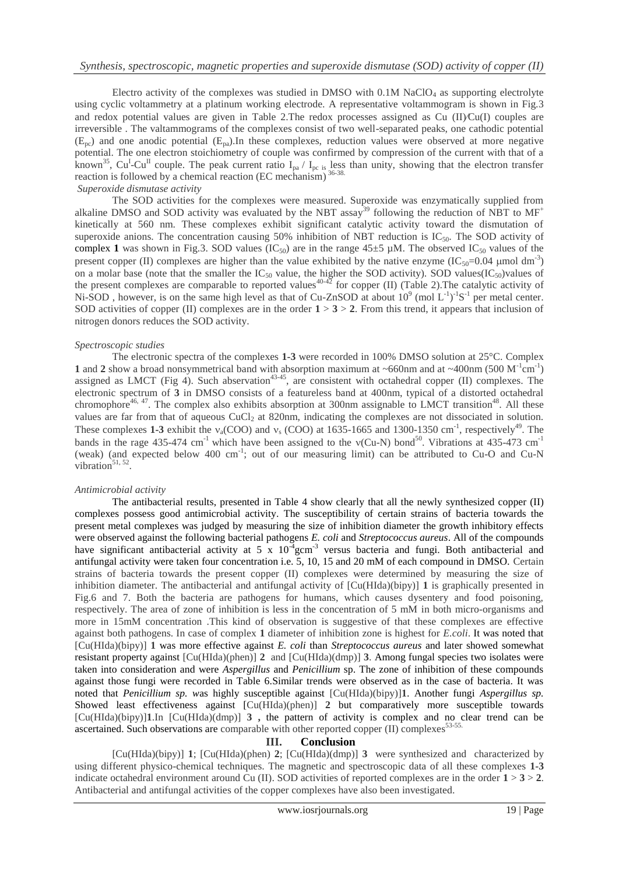Electro activity of the complexes was studied in DMSO with  $0.1M$  NaClO<sub>4</sub> as supporting electrolyte using cyclic voltammetry at a platinum working electrode. A representative voltammogram is shown in Fig.3 and redox potential values are given in Table 2. The redox processes assigned as Cu  $(II)$ Cu(I) couples are irreversible . The valtammograms of the complexes consist of two well-separated peaks, one cathodic potential  $(E_{pc})$  and one anodic potential  $(E_{pa})$ . In these complexes, reduction values were observed at more negative potential. The one electron stoichiometry of couple was confirmed by compression of the current with that of a known<sup>35</sup>, Cu<sup>I</sup>-Cu<sup>II</sup> couple. The peak current ratio I<sub>pa</sub> / I<sub>pc is</sub> less than unity, showing that the electron transfer reaction is followed by a chemical reaction (EC mechanism) 36-38.

#### *Superoxide dismutase activity*

The SOD activities for the complexes were measured. Superoxide was enzymatically supplied from alkaline DMSO and SOD activity was evaluated by the NBT assay<sup>39</sup> following the reduction of NBT to  $MF^+$ kinetically at 560 nm. These complexes exhibit significant catalytic activity toward the dismutation of superoxide anions. The concentration causing  $50\%$  inhibition of NBT reduction is IC<sub>50</sub>. The SOD activity of complex 1 was shown in Fig.3. SOD values  $(IC_{50})$  are in the range  $45\pm5$  µM. The observed  $IC_{50}$  values of the present copper (II) complexes are higher than the value exhibited by the native enzyme  $(IC_{50}=0.04 \mu mol dm^{-3})$ on a molar base (note that the smaller the  $IC_{50}$  value, the higher the SOD activity). SOD values( $IC_{50}$ )values of the present complexes are comparable to reported values<sup>40-42</sup> for copper (II) (Table 2). The catalytic activity of Ni-SOD, however, is on the same high level as that of Cu-ZnSOD at about  $10^9$  (mol L<sup>-1</sup>)<sup>-1</sup>S<sup>-1</sup> per metal center. SOD activities of copper (II) complexes are in the order  $1 > 3 > 2$ . From this trend, it appears that inclusion of nitrogen donors reduces the SOD activity.

#### *Spectroscopic studies*

The electronic spectra of the complexes **1-3** were recorded in 100% DMSO solution at 25°C. Complex 1 and 2 show a broad nonsymmetrical band with absorption maximum at ~660nm and at ~400nm (500  $\text{M}^{-1}\text{cm}^{-1}$ ) assigned as LMCT (Fig 4). Such abservation<sup>43-45</sup>, are consistent with octahedral copper (II) complexes. The electronic spectrum of **3** in DMSO consists of a featureless band at 400nm, typical of a distorted octahedral chromophore<sup>46, 47</sup>. The complex also exhibits absorption at 300nm assignable to LMCT transition<sup>48</sup>. All these values are far from that of aqueous CuCl<sub>2</sub> at 820nm, indicating the complexes are not dissociated in solution. These complexes 1-3 exhibit the  $v_a(COO)$  and  $v_s(COO)$  at 1635-1665 and 1300-1350 cm<sup>-1</sup>, respectively<sup>49</sup>. The bands in the rage 435-474 cm<sup>-1</sup> which have been assigned to the  $v$ (Cu-N) bond<sup>50</sup>. Vibrations at 435-473 cm<sup>-1</sup> (weak) (and expected below 400 cm<sup>-1</sup>; out of our measuring limit) can be attributed to Cu-O and Cu-N vibration $51, 52$ .

#### *Antimicrobial activity*

The antibacterial results, presented in Table 4 show clearly that all the newly synthesized copper (II) complexes possess good antimicrobial activity. The susceptibility of certain strains of bacteria towards the present metal complexes was judged by measuring the size of inhibition diameter the growth inhibitory effects were observed against the following bacterial pathogens *E. coli* and *Streptococcus aureus*. All of the compounds have significant antibacterial activity at 5 x  $10^{-4}$ gcm<sup>-3</sup> versus bacteria and fungi. Both antibacterial and antifungal activity were taken four concentration i.e. 5, 10, 15 and 20 mM of each compound in DMSO. Certain strains of bacteria towards the present copper (II) complexes were determined by measuring the size of inhibition diameter. The antibacterial and antifungal activity of [Cu(HIda)(bipy)] **1** is graphically presented in Fig.6 and 7. Both the bacteria are pathogens for humans, which causes dysentery and food poisoning, respectively. The area of zone of inhibition is less in the concentration of 5 mM in both micro-organisms and more in 15mM concentration .This kind of observation is suggestive of that these complexes are effective against both pathogens. In case of complex **1** diameter of inhibition zone is highest for *E.coli*. It was noted that [Cu(HIda)(bipy)] **1** was more effective against *E. coli* than *Streptococcus aureus* and later showed somewhat resistant property against [Cu(HIda)(phen)] **2** and [Cu(HIda)(dmp)] **3**. Among fungal species two isolates were taken into consideration and were *Aspergillus* and *Penicillium* sp. The zone of inhibition of these compounds against those fungi were recorded in Table 6.Similar trends were observed as in the case of bacteria. It was noted that *Penicillium sp. w*as highly susceptible against [Cu(HIda)(bipy)]**1**. Another fungi *Aspergillus sp.*  Showed least effectiveness against [Cu(HIda)(phen)] **2** but comparatively more susceptible towards [Cu(HIda)(bipy)]**1**.In [Cu(HIda)(dmp)] **3 ,** the pattern of activity is complex and no clear trend can be ascertained. Such observations are comparable with other reported copper  $(II)$  complexes<sup>53-55</sup>

#### **III. Conclusion**

[Cu(HIda)(bipy)] **1**; [Cu(HIda)(phen) **2**; [Cu(HIda)(dmp)] **3** were synthesized and characterized by using different physico-chemical techniques. The magnetic and spectroscopic data of all these complexes **1-3** indicate octahedral environment around Cu (II). SOD activities of reported complexes are in the order **1** > **3** > **2**. Antibacterial and antifungal activities of the copper complexes have also been investigated.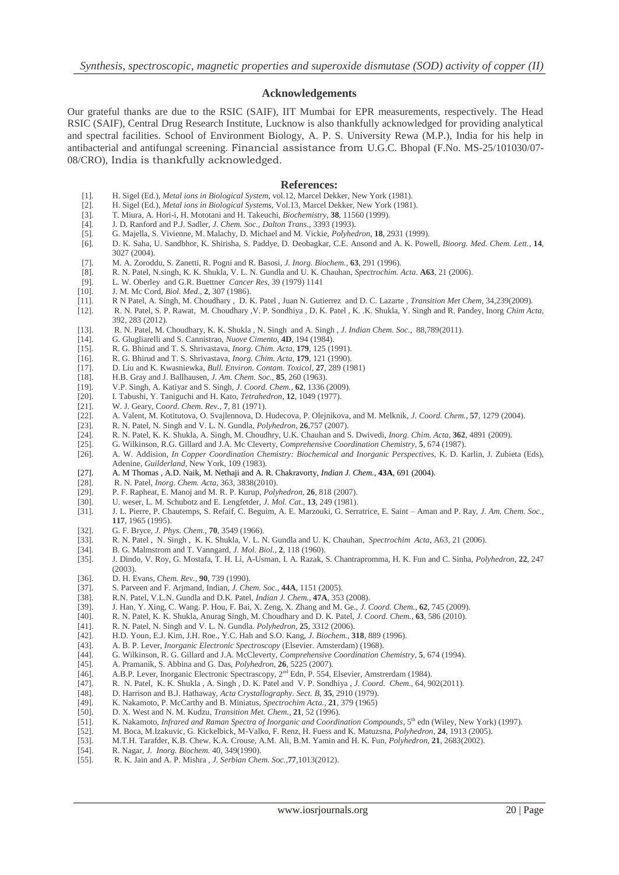#### **Acknowledgements**

Our grateful thanks are due to the RSIC (SAIF), IIT Mumbai for EPR measurements, respectively. The Head RSIC (SAIF), Central Drug Research Institute, Lucknow is also thankfully acknowledged for providing analytical and spectral facilities. School of Environment Biology, A. P. S. University Rewa (M.P.), India for his help in antibacterial and antifungal screening. Financial assistance from U.G.C. Bhopal (F.No. MS-25/101030/07- 08/CRO), India is thankfully acknowledged.

#### **References:**

- [1]. H. Sigel (Ed.), *Metal ions in Biological System*, vol.12, Marcel Dekker, New York (1981).
- [2]. H. Sigel (Ed.), *Metal ions in Biological Systems*, Vol.13, Marcel Dekker, New York (1981).
- [3]. T. Miura, A. Hori-i, H. Mototani and H. Takeuchi, *Biochemistry*, **38**, 11560 (1999).
- [4]. J. D. Ranford and P.J. Sadler, *J. Chem. Soc.*, *Dalton Trans.*, 3393 (1993).
- [5]. G. Majella, S. Vivienne, M. Malachy, D. Michael and M. Vickie, *Polyhedron*, **18**, 2931 (1999).
- [6]. D. K. Saha, U. Sandbhor, K. Shirisha, S. Paddye, D. Deobagkar, C.E. Ansond and A. K. Powell, *Bioorg. Med. Chem. Lett.*, **14**, 3027 (2004).
- [7]. M. A. Zoroddu, S. Zanetti, R. Pogni and R. Basosi, *J. Inorg. Biochem.*, **63**, 291 (1996).
- [8]. R. N. Patel, N.singh, K. K. Shukla, V. L. N. Gundla and U. K. Chauhan, *Spectrochim. Acta.* **A63**, 21 (2006).
- [9]. L. W. Oberley and G.R. Buettner *Cancer Res*, 39 (1979) 1141
- [10]. J. M. Mc Cord, *Biol. Med*., **2**, 307 (1986).
- [11]. R N Patel, A. Singh, M. Choudhary , D. K. Patel , Juan N. Gutierrez and D. C. Lazarte , *Transition Met Chem,* 34,239(2009).
- [12]. R. N. Patel, S. P. Rawat, M. Choudhary ,V. P. Sondhiya , D. K. Patel , K. .K. Shukla, Y. Singh and R. Pandey, Inorg *Chim Acta,* 392, 283 (2012).
- [13]. R. N. Patel, M. Choudhary, K. K. Shukla , N. Singh and A. Singh , *J. Indian Chem. Soc.,* 88,789(2011).
- [14]. G. Glugliarelli and S. Cannistrao, *Nuove Cimento*, **4D**, 194 (1984).
- [15]. R. G. Bhirud and T. S. Shrivastava, *Inorg. Chim. Acta,* **179**, 125 (1991).
- [16]. R. G. Bhirud and T. S. Shrivastava, *Inorg. Chim. Acta,* **179**, 121 (1990).
- [17]. D. Liu and K. Kwasniewka, *Bull. Environ. Contam. Toxicol*, **27**, 289 (1981)
- [18]. H.B. Gray and J. Ballhausen, *J. Am. Chem. Soc.*, **85**, 260 (1963).
- [19]. V.P. Singh, A. Katiyar and S. Singh, *J. Coord. Chem.*, **62**, 1336 (2009).
- [20]. I. Tabushi, Y. Taniguchi and H. Kato, *Tetrahedron*, **12**, 1049 (1977).
- [21]. W. J. Geary, C*oord. Chem. Rev.*, **7**, 81 (1971).
- [22]. A. Valent, M. Kotitutova, O. Svajlennova, D. Hudecova, P. Olejnikova, and M. Melknik, *J. Coord. Chem.*, **57**, 1279 (2004).
- [23]. R. N. Patel, N. Singh and V. L. N. Gundla, *Polyhedron*, **26**,757 (2007).
- [24]. R. N. Patel, K. K. Shukla, A. Singh, M. Choudhry, U.K. Chauhan and S. Dwivedi, *Inorg. Chim. Acta,* **362**, 4891 (2009).
- [25]. G. Wilkinson, R.G. Gillard and J.A. Mc Cleverty, *Comprehensive Coordination Chemistry*, **5**, 674 (1987).
- [26]. A. W. Addision, *In Copper Coordination Chemistry: Biochemical and Inorganic Perspectives*, K. D. Karlin, J. Zubieta (Eds), Adenine, *Guilderland*, New York, 109 (1983).
- [27]. A. M Thomas , A.D. Naik, M. Nethaji and A. R. Chakravorty, *Indian J. Chem.*, **43A**, 691 (2004).
- [28]. R. N. Patel, *Inorg. Chem. Acta,* 363, 3838(2010).
- [29]. P. F. Rapheat, E. Manoj and M. R. P. Kurup, *Polyhedron*, **26**, 818 (2007).
- [30]. U. weser, L. M. Schubotz and E. Lengfetder, *J. Mol. Cat.*, **13**, 249 (1981).
- [31]. J. L. Pierre, P. Chautemps, S. Refaif, C. Beguim, A. E. Marzouki, G. Serratrice, E. Saint Aman and P. Ray, *J. Am. Chem. Soc.*, **117**, 1965 (1995).
- [32]. G. F. Bryce, *J. Phys. Chem.*, **70**, 3549 (1966).
- [33]. R. N. Patel , N. Singh , K. K. Shukla, V. L. N. Gundla and U. K. Chauhan, *Spectrochim Acta*, A63, 21 (2006).
- [34]. B. G. Malmstrom and T. Vanngard, *J. Mol. Biol.*, **2**, 118 (1960).
- [35]. J. Dindo, V. Roy, G. Mostafa, T. H. Li, A-Usman, I. A. Razak, S. Chantrapromma, H. K. Fun and C. Sinha, *Polyhedron*, **22**, 247 (2003).
- [36]. D. H. Evans, *Chem. Rev.*, **90**, 739 (1990).
- [37]. S. Parveen and F. Arjmand, Indian, *J. Chem. Soc.*, **44A**, 1151 (2005).
- 
- [38]. R.N. Patel, V.L.N. Gundla and D.K. Patel, *Indian J. Chem.*, **47A**, 353 (2008). [39]. J. Han, Y. Xing, C. Wang. P. Hou, F. Bai, X. Zeng, X. Zhang and M. Ge., *J.* ( [39]. J. Han, Y. Xing, C. Wang. P. Hou, F. Bai, X. Zeng, X. Zhang and M. Ge., *J. Coord. Chem.*, **62**, 745 (2009).
- [40]. R. N. Patel, K. K. Shukla, Anurag Singh, M. Choudhary and D. K. Patel, *J. Coord. Chem.*, **63**, 586 (2010).
- [41]. R. N. Patel, N. Singh and V. L. N. Gundla. *Polyhedron*, **25**, 3312 (2006).
- [42]. H.D. Youn, E.J. Kim, J.H. Roe., Y.C. Hah and S.O. Kang, *J. Biochem.*, **318**, 889 (1996).
- [43]. A. B. P. Lever, *Inorganic Electronic Spectroscopy* (Elsevier. Amsterdam) (1968).
- [44]. G. Wilkinson, R. G. Gillard and J.A. McCleverty, *Comprehensive Coordination Chemistry*, **5**, 674 (1994).
- [45]. A. Pramanik, S. Abbina and G. Das, *Polyhedron*, **26**, 5225 (2007).
- [46]. A.B.P. Lever, Inorganic Electronic Spectrascopy, 2<sup>nd</sup> Edn, P. 554, Elsevier, Amstrerdam (1984).
- [47]. R. N. Patel, K. K. Shukla , A. Singh , D. K. Patel and V. P. Sondhiya , *J. Coord. Chem.*, 64, 902(2011).
- [48]. D. Harrison and B.J. Hathaway, *Acta Crystallography. Sect. B*, **35**, 2910 (1979).
- [49]. K. Nakamoto, P. McCarthy and B. Miniatus, *Spectrochim Acta.*, **21**, 379 (1965)
- [50]. D. X. West and N. M. Kudzu, *Transition Met. Chem.*, **21**, 52 (1996).
- [51]. K. Nakamoto, *Infrared and Raman Spectra of Inorganic and Coordination Compounds*, 5<sup>th</sup> edn (Wiley, New York) (1997).<br>[52]. M. Boca, M.Izakuvic, G. Kickelbick, M-Valko, F. Renz, H. Fuess and K. Matuzsna, *Polyhedron*
- [52]. M. Boca, M.Izakuvic, G. Kickelbick, M-Valko, F. Renz, H. Fuess and K. Matuzsna, *Polyhedron*, **24**, 1913 (2005).
- [53]. M.T.H. Tarafder, K.B. Chew. K.A. Crouse, A.M. Ali, B.M. Yamin and H. K. Fun, *Polyhedron*, **21**, 2683(2002).
- [54]. R. Nagar, *J. Inorg. Biochem.* 40, 349(1990).
- [55]. R. K. Jain and A. P. Mishra *, J. Serbian Chem. Soc.,***77**,1013(2012).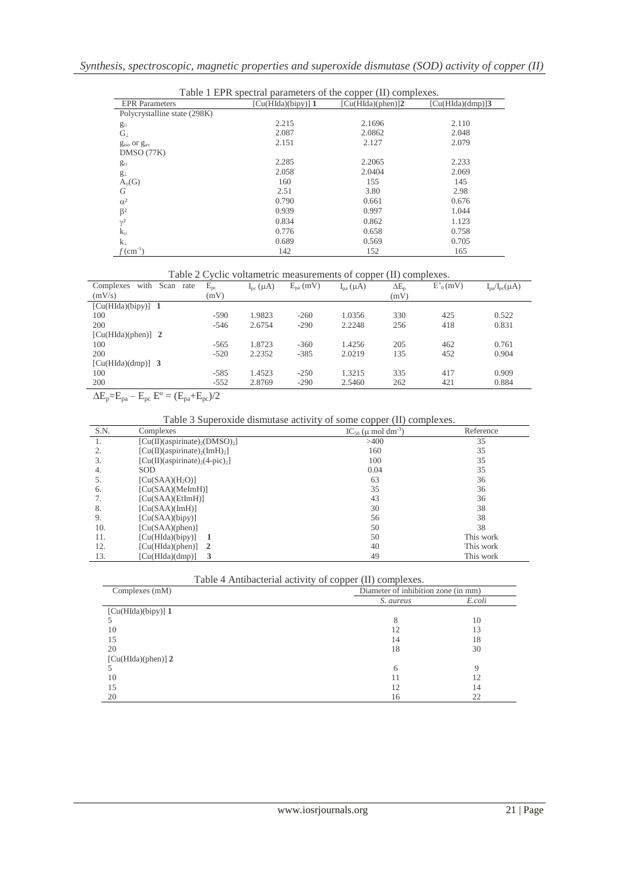| Table 1 EPR spectral parameters of the copper (II) complexes. |                    |                   |                     |  |  |
|---------------------------------------------------------------|--------------------|-------------------|---------------------|--|--|
| <b>EPR</b> Parameters                                         | [Cu(HIda)(bipy)] 1 | [Cu(HIda)(phen)]2 | $[Cu(HIda)(dmp)]$ 3 |  |  |
| Polycrystalline state (298K)                                  |                    |                   |                     |  |  |
| $g_{\parallel}$                                               | 2.215              | 2.1696            | 2.110               |  |  |
| $G_{\perp}$                                                   | 2.087              | 2.0862            | 2.048               |  |  |
| $giso$ or $gav$                                               | 2.151              | 2.127             | 2.079               |  |  |
| DMSO (77K)                                                    |                    |                   |                     |  |  |
| $g_{\parallel}$                                               | 2.285              | 2.2065            | 2.233               |  |  |
| $g_{\perp}$                                                   | 2.058              | 2.0404            | 2.069               |  |  |
| $A_{II}(G)$                                                   | 160                | 155               | 145                 |  |  |
| G                                                             | 2.51               | 3.80              | 2.98                |  |  |
| $\alpha^2$                                                    | 0.790              | 0.661             | 0.676               |  |  |
| $\beta^2$                                                     | 0.939              | 0.997             | 1.044               |  |  |
| $\gamma^2$                                                    | 0.834              | 0.862             | 1.123               |  |  |
| $k_{\rm H}$                                                   | 0.776              | 0.658             | 0.758               |  |  |
| $k_{\perp}$                                                   | 0.689              | 0.569             | 0.705               |  |  |
| $\text{cm}^{-1}$                                              | 142                | 152               | 165                 |  |  |

|  |  | Table 2 Cyclic voltametric measurements of copper (II) complexes. |  |  |
|--|--|-------------------------------------------------------------------|--|--|
|  |  |                                                                   |  |  |

|                                   |               |                     |               | <b>A</b>        | $\overline{\phantom{a}}$ |            |                        |  |
|-----------------------------------|---------------|---------------------|---------------|-----------------|--------------------------|------------|------------------------|--|
| with<br>Scan<br>Complexes<br>rate | $E_{\rm pc}$  | $I_{\rm pc}(\mu A)$ | $E_{pa}$ (mV) | $I_{pa}(\mu A)$ | $\Delta E_n$             | $E'_0(mV)$ | $I_{pa}/I_{pc}(\mu A)$ |  |
| (mV/s)                            | (mV)          |                     |               |                 | (mV)                     |            |                        |  |
| $[Cu(HIda)(bipy)]$ 1              |               |                     |               |                 |                          |            |                        |  |
| 100                               | $-590$        | 1.9823              | $-260$        | 1.0356          | 330                      | 425        | 0.522                  |  |
| 200                               | $-546$        | 2.6754              | $-290$        | 2.2248          | 256                      | 418        | 0.831                  |  |
| $[Cu(HIda)(phen)]$ 2              |               |                     |               |                 |                          |            |                        |  |
| 100                               | $-565$        | 1.8723              | $-360$        | 1.4256          | 205                      | 462        | 0.761                  |  |
| 200                               | $-520$        | 2.2352              | $-385$        | 2.0219          | 135                      | 452        | 0.904                  |  |
| $[Cu(HIda)(dmp)]$ 3               |               |                     |               |                 |                          |            |                        |  |
| 100                               | $-585$        | 1.4523              | $-250$        | 1.3215          | 335                      | 417        | 0.909                  |  |
| 200                               | $-552$        | 2.8769              | $-290$        | 2.5460          | 262                      | 421        | 0.884                  |  |
| $\sim$ $-$<br>$\sim$<br>$\sim$    | $\sim$ $\sim$ |                     |               |                 |                          |            |                        |  |

 $\Delta E_p = E_{pa} - E_{pc} E^{\circ} = (E_{pa} + E_{pc})/2$ 

# Table 3 Superoxide dismutase activity of some copper (II) complexes.

| S.N. | Complexes                                                  | $IC_{50}$ ( $\mu$ mol dm <sup>-3</sup> ) | Reference |
|------|------------------------------------------------------------|------------------------------------------|-----------|
| 1.   | $[Cu(II)(a$ spirinate) <sub>2</sub> (DMSO) <sub>2</sub> ]  | >400                                     | 35        |
| 2.   | $[Cu(II)(a$ spirinate) <sub>2</sub> (ImH) <sub>2</sub> ]   | 160                                      | 35        |
| 3.   | $[Cu(II)(a$ spirinate) <sub>2</sub> (4-pic) <sub>2</sub> ] | 100                                      | 35        |
| 4.   | <b>SOD</b>                                                 | 0.04                                     | 35        |
| 5.   | [Cu(SAA)(H <sub>2</sub> O)]                                | 63                                       | 36        |
| 6.   | [Cu(SAA)(MeImH)]                                           | 35                                       | 36        |
| 7.   | [Cu(SAA)(EtImH)]                                           | 43                                       | 36        |
| 8.   | [Cu(SAA)(ImH)]                                             | 30                                       | 38        |
| 9.   | [Cu(SAA)(bipy)]                                            | 56                                       | 38        |
| 10.  | [Cu(SAA)(phen)]                                            | 50                                       | 38        |
| 11.  | [Cu(HIda)(bipy)]                                           | 50                                       | This work |
| 12.  | [Cu(HIda)(phen)]<br>$\overline{2}$                         | 40                                       | This work |
| 13.  | [Cu(HIda)(dmp)]<br>3                                       | 49                                       | This work |

| Table 4 Antibacterial activity of copper (II) complexes. |  |  |
|----------------------------------------------------------|--|--|
|                                                          |  |  |

| Complexes (mM)       | Diameter of inhibition zone (in mm) |        |  |
|----------------------|-------------------------------------|--------|--|
|                      | S. aureus                           | E.coli |  |
| $[Cu(HIda)(bipy)]$ 1 |                                     |        |  |
|                      | 8                                   | 10     |  |
| 10                   | 12                                  | 13     |  |
| 15                   | 14                                  | 18     |  |
| 20                   | 18                                  | 30     |  |
| $[Cu(HIda)(phen)]$ 2 |                                     |        |  |
|                      | 6                                   |        |  |
| 10                   |                                     | 12     |  |
| 15                   | 12                                  | 14     |  |
| 20                   | 16                                  | 22     |  |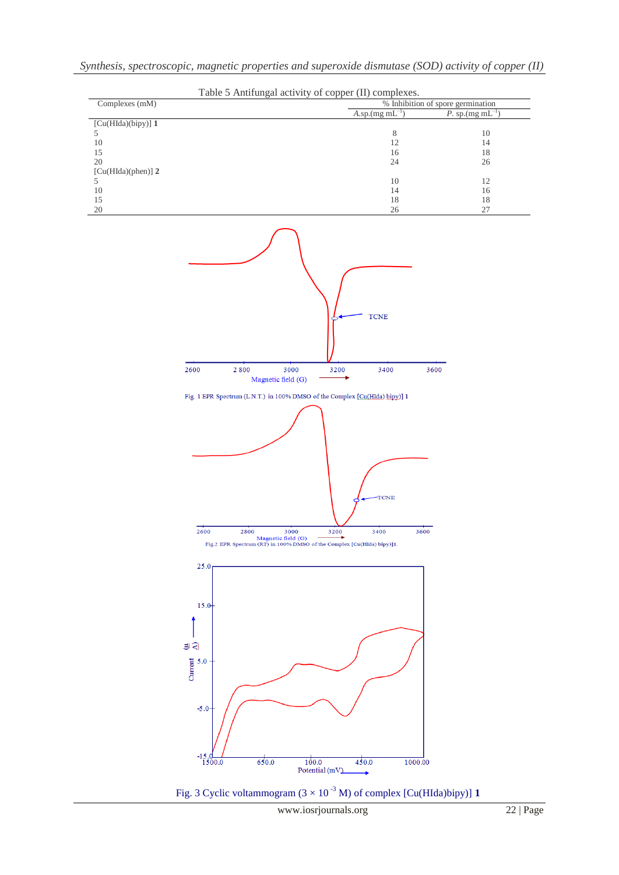| Table 5 Antifungal activity of copper (II) complexes. |                            |                                   |  |  |
|-------------------------------------------------------|----------------------------|-----------------------------------|--|--|
| Complexes (mM)                                        |                            | % Inhibition of spore germination |  |  |
|                                                       | $A.\text{sp.(mg mL}^{-1})$ | P. sp.(mg mL $^{-1}$              |  |  |
| $[Cu(HIda)(bipy)]$ 1                                  |                            |                                   |  |  |
|                                                       | 8                          | 10                                |  |  |
| 10                                                    | 12                         | 14                                |  |  |
| 15                                                    | 16                         | 18                                |  |  |
| 20                                                    | 24                         | 26                                |  |  |
| $[Cu(HIda)(phen)]$ 2                                  |                            |                                   |  |  |
|                                                       | 10                         | 12                                |  |  |
| 10                                                    | 14                         | 16                                |  |  |
| 15                                                    | 18                         | 18                                |  |  |
| $\Omega$                                              | $\cap$                     | $\gamma$                          |  |  |



www.iosrjournals.org 22 | Page

Fig. 3 Cyclic voltammogram  $(3 \times 10^{-3} \text{ M})$  of complex [Cu(HIda)bipy)] 1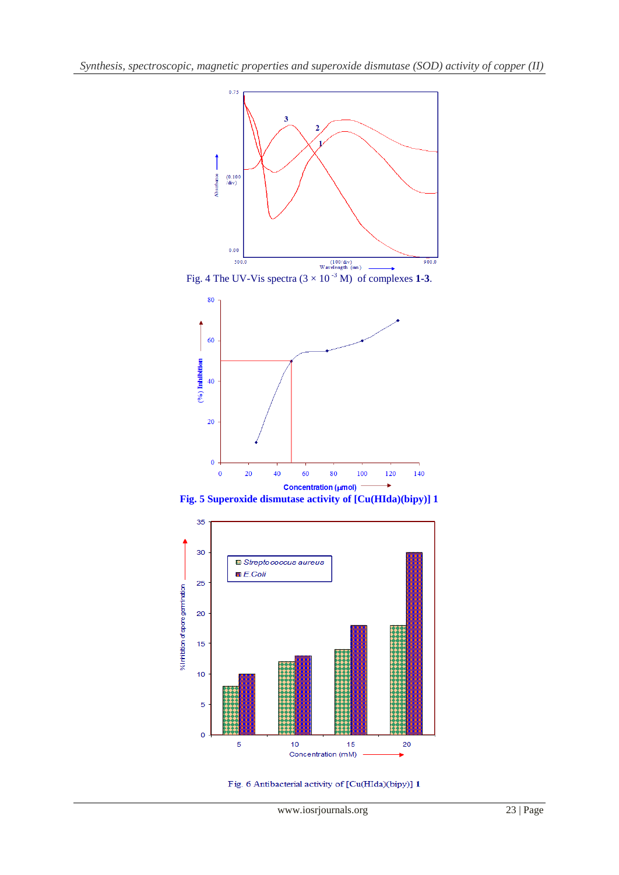









Fig. 6 Antibacterial activity of [Cu(HIda)(bipy)] 1